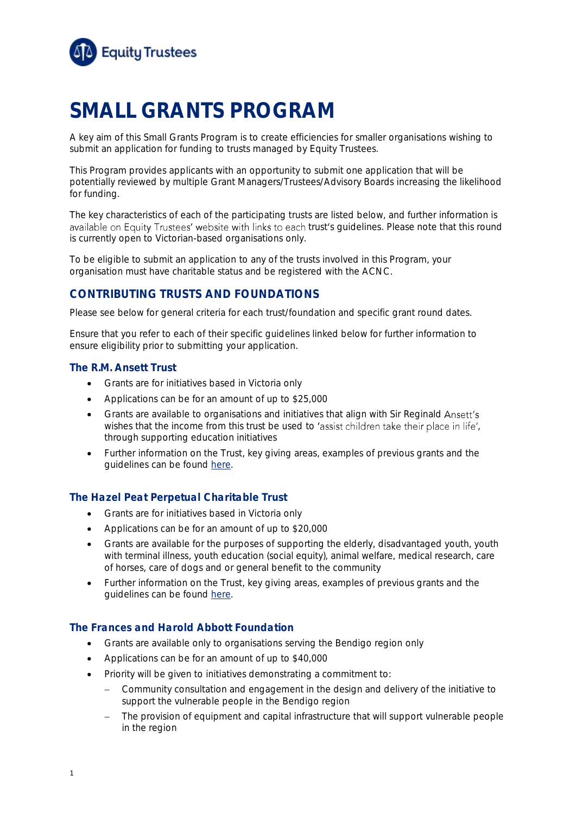

# **SMALL GRANTS PROGRAM**

A key aim of this Small Grants Program is to create efficiencies for smaller organisations wishing to submit an application for funding to trusts managed by Equity Trustees.

This Program provides applicants with an opportunity to submit one application that will be potentially reviewed by multiple Grant Managers/Trustees/Advisory Boards increasing the likelihood for funding.

The key characteristics of each of the participating trusts are listed below, and further information is available on Equity Trustees' website with links to each trust's guidelines. Please note that this round is currently open to Victorian-based organisations only.

To be eligible to submit an application to any of the trusts involved in this Program, your organisation must have charitable status and be registered with the ACNC.

# **CONTRIBUTING TRUSTS AND FOUNDATIONS**

Please see below for general criteria for each trust/foundation and specific grant round dates.

Ensure that you refer to each of their specific guidelines linked below for further information to ensure eligibility prior to submitting your application.

#### **The R.M. Ansett Trust**

- Grants are for initiatives based in Victoria only
- Applications can be for an amount of up to \$25,000
- Grants are available to organisations and initiatives that align with Sir Reginald Ansett's wishes that the income from this trust be used to 'assist children take their place in life', through supporting education initiatives
- Further information on the Trust, key giving areas, examples of previous grants and the guidelines can be found [here.](https://www.eqt.com.au/philanthropy/rm-ansett-trust)

#### **The Hazel Peat Perpetual Charitable Trust**

- Grants are for initiatives based in Victoria only
- Applications can be for an amount of up to \$20,000
- Grants are available for the purposes of supporting the elderly, disadvantaged youth, youth with terminal illness, youth education (social equity), animal welfare, medical research, care of horses, care of dogs and or general benefit to the community
- Further information on the Trust, key giving areas, examples of previous grants and the guidelines can be found [here.](https://www.eqt.com.au/philanthropy/grant-funding/folder-other-grants/hazel-peat-perpetual-charitable-trust)

#### **The Frances and Harold Abbott Foundation**

- Grants are available only to organisations serving the Bendigo region only
- Applications can be for an amount of up to \$40,000
- Priority will be given to initiatives demonstrating a commitment to:
	- − Community consultation and engagement in the design and delivery of the initiative to support the vulnerable people in the Bendigo region
	- The provision of equipment and capital infrastructure that will support vulnerable people in the region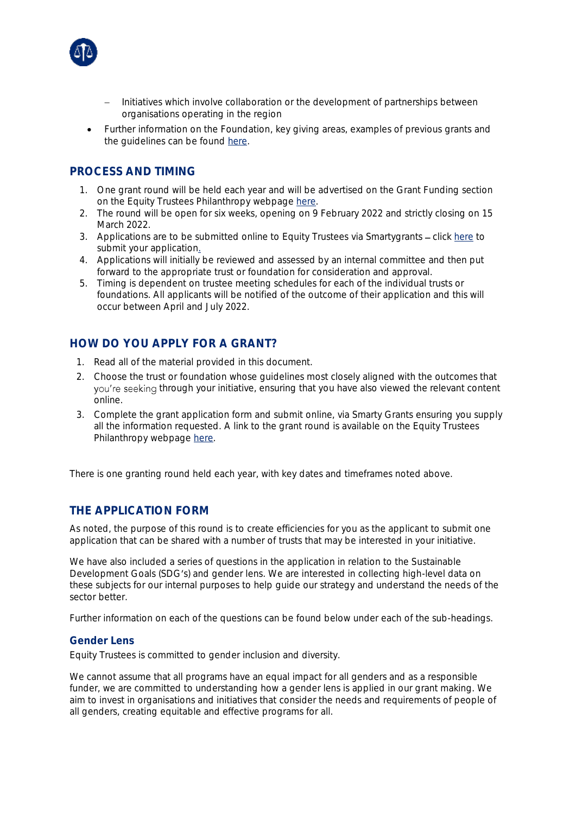

- − Initiatives which involve collaboration or the development of partnerships between organisations operating in the region
- Further information on the Foundation, key giving areas, examples of previous grants and the guidelines can be found [here.](https://www.eqt.com.au/-/media/equitytrustees/files/philanthropy/forms-guides-reports/frances-and-harold-abbott-foundation-guidelines.pdf)

# **PROCESS AND TIMING**

- 1. One grant round will be held each year and will be advertised on the Grant Funding section on the Equity Trustees Philanthropy webpage [here.](https://www.eqt.com.au/philanthropy/grant-funding)
- 2. The round will be open for six weeks, opening on 9 February 2022 and strictly closing on 15 March 2022.
- 3. Applications are to be submitted online to Equity Trustees via Smartygrants click [here](https://equitytrustees.smartygrants.com.au/smallgrants) to submit your application.
- 4. Applications will initially be reviewed and assessed by an internal committee and then put forward to the appropriate trust or foundation for consideration and approval.
- 5. Timing is dependent on trustee meeting schedules for each of the individual trusts or foundations. All applicants will be notified of the outcome of their application and this will occur between April and July 2022.

## **HOW DO YOU APPLY FOR A GRANT?**

- 1. Read all of the material provided in this document.
- 2. Choose the trust or foundation whose guidelines most closely aligned with the outcomes that you're seeking through your initiative, ensuring that you have also viewed the relevant content online.
- 3. Complete the grant application form and submit online, via Smarty Grants ensuring you supply all the information requested. A link to the grant round is available on the Equity Trustees Philanthropy webpage [here.](https://www.eqt.com.au/philanthropy/grant-funding)

There is one granting round held each year, with key dates and timeframes noted above.

## **THE APPLICATION FORM**

As noted, the purpose of this round is to create efficiencies for you as the applicant to submit one application that can be shared with a number of trusts that may be interested in your initiative.

We have also included a series of questions in the application in relation to the Sustainable Development Goals (SDG's) and gender lens. We are interested in collecting high-level data on these subjects for our internal purposes to help guide our strategy and understand the needs of the sector better.

Further information on each of the questions can be found below under each of the sub-headings.

#### **Gender Lens**

Equity Trustees is committed to gender inclusion and diversity.

We cannot assume that all programs have an equal impact for all genders and as a responsible funder, we are committed to understanding how a gender lens is applied in our grant making. We aim to invest in organisations and initiatives that consider the needs and requirements of people of all genders, creating equitable and effective programs for all.